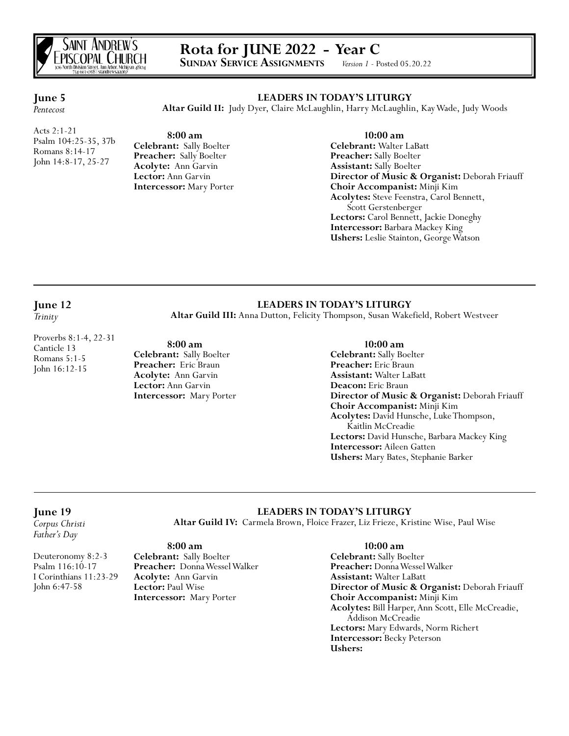

# **Rota for JUNE 2022 - Year C**<br>SUNDAY SERVICE ASSIGNMENTS *Version 1* - Posted 05.20.22

**SUNDAY SERVICE ASSIGNMENTS** 

#### **LEADERS IN TODAY'S LITURGY**

**Altar Guild II:** Judy Dyer, Claire McLaughlin, Harry McLaughlin, Kay Wade, Judy Woods

Acts 2:1-21 Psalm 104:25-35, 37b Romans 8:14-17 John 14:8-17, 25-27

**June 5** *Pentecost*

> **8:00 am Celebrant:** Sally Boelter **Preacher:** Sally Boelter **Acolyte:** Ann Garvin **Lector:** Ann Garvin **Intercessor:** Mary Porter

 **10:00 am Celebrant:** Walter LaBatt **Preacher:** Sally Boelter **Assistant:** Sally Boelter **Director of Music & Organist:** Deborah Friauff **Choir Accompanist:** Minji Kim **Acolytes:** Steve Feenstra, Carol Bennett, Scott Gerstenberger **Lectors:** Carol Bennett, Jackie Doneghy **Intercessor:** Barbara Mackey King **Ushers:** Leslie Stainton, George Watson

# **June 12**

*Trinity*

#### Proverbs 8:1-4, 22-31 Canticle 13 Romans 5:1-5 John 16:12-15

### **LEADERS IN TODAY'S LITURGY Altar Guild III:** Anna Dutton, Felicity Thompson, Susan Wakefield, Robert Westveer

 **8:00 am Celebrant:** Sally Boelter **Preacher:** Eric Braun **Acolyte:** Ann Garvin **Lector:** Ann Garvin **Intercessor:** Mary Porter

#### **10:00 am**

**Celebrant:** Sally Boelter **Preacher:** Eric Braun **Assistant:** Walter LaBatt **Deacon:** Eric Braun **Director of Music & Organist:** Deborah Friauff **Choir Accompanist:** Minji Kim **Acolytes:** David Hunsche, Luke Thompson, Kaitlin McCreadie **Lectors:** David Hunsche, Barbara Mackey King **Intercessor:** Aileen Gatten **Ushers:** Mary Bates, Stephanie Barker

#### **June 19**

*Corpus Christi Father's Day*

**LEADERS IN TODAY'S LITURGY Altar Guild IV:** Carmela Brown, Floice Frazer, Liz Frieze, Kristine Wise, Paul Wise

Deuteronomy 8:2-3 Psalm 116:10-17 I Corinthians 11:23-29 John 6:47-58

**Celebrant:** Sally Boelter **Preacher:** Donna Wessel Walker **Acolyte:** Ann Garvin **Lector:** Paul Wise **Intercessor:** Mary Porter

 **8:00 am**

#### **10:00 am**

**Celebrant:** Sally Boelter **Preacher:** Donna Wessel Walker **Assistant:** Walter LaBatt **Director of Music & Organist:** Deborah Friauff **Choir Accompanist:** Minji Kim **Acolytes:** Bill Harper, Ann Scott, Elle McCreadie, Addison McCreadie **Lectors:** Mary Edwards, Norm Richert **Intercessor:** Becky Peterson **Ushers:**